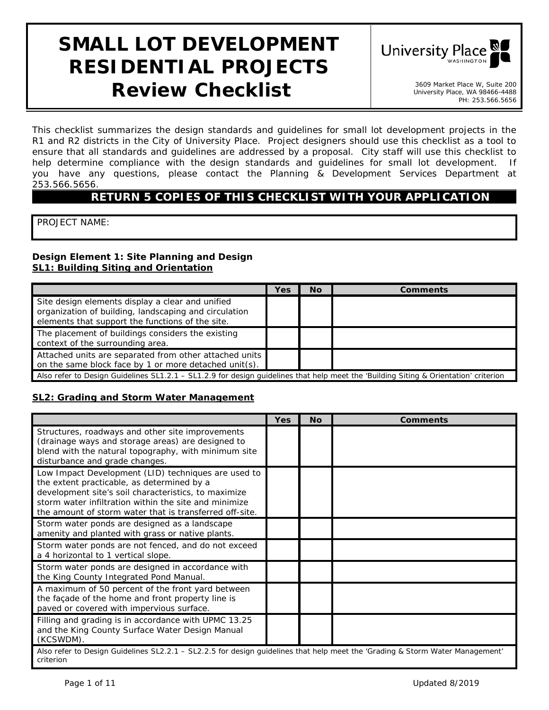# **SMALL LOT DEVELOPMENT RESIDENTIAL PROJECTS Review Checklist 1998** Market Place W, Suite 200



University Place, WA 98466-4488 PH: 253.566.5656

*This checklist summarizes the design standards and guidelines for small lot development projects in the R1 and R2 districts in the City of University Place. Project designers should use this checklist as a tool to ensure that all standards and guidelines are addressed by a proposal. City staff will use this checklist to help determine compliance with the design standards and guidelines for small lot development. If you have any questions, please contact the Planning & Development Services Department at 253.566.5656.* 

# **RETURN 5 COPIES OF THIS CHECKLIST WITH YOUR APPLICATION**

PROJECT NAME:

#### **Design Element 1: Site Planning and Design SL1: Building Siting and Orientation**

|                                                                                                                                                               | Yes | <b>No</b> | Comments |  |
|---------------------------------------------------------------------------------------------------------------------------------------------------------------|-----|-----------|----------|--|
| Site design elements display a clear and unified<br>organization of building, landscaping and circulation<br>elements that support the functions of the site. |     |           |          |  |
| The placement of buildings considers the existing<br>context of the surrounding area.                                                                         |     |           |          |  |
| Attached units are separated from other attached units<br>on the same block face by 1 or more detached unit(s).                                               |     |           |          |  |
| Also refer to Design Guidelines SL1.2.1 – SL1.2.9 for design quidelines that help meet the 'Building Siting & Orientation' criterion                          |     |           |          |  |

#### **SL2: Grading and Storm Water Management**

|                                                                                                                                                                                                                                                                               | <b>Yes</b> | <b>No</b> | <b>Comments</b> |  |
|-------------------------------------------------------------------------------------------------------------------------------------------------------------------------------------------------------------------------------------------------------------------------------|------------|-----------|-----------------|--|
| Structures, roadways and other site improvements<br>(drainage ways and storage areas) are designed to<br>blend with the natural topography, with minimum site<br>disturbance and grade changes.                                                                               |            |           |                 |  |
| Low Impact Development (LID) techniques are used to<br>the extent practicable, as determined by a<br>development site's soil characteristics, to maximize<br>storm water infiltration within the site and minimize<br>the amount of storm water that is transferred off-site. |            |           |                 |  |
| Storm water ponds are designed as a landscape<br>amenity and planted with grass or native plants.                                                                                                                                                                             |            |           |                 |  |
| Storm water ponds are not fenced, and do not exceed<br>a 4 horizontal to 1 vertical slope.                                                                                                                                                                                    |            |           |                 |  |
| Storm water ponds are designed in accordance with<br>the King County Integrated Pond Manual.                                                                                                                                                                                  |            |           |                 |  |
| A maximum of 50 percent of the front yard between<br>the façade of the home and front property line is<br>paved or covered with impervious surface.                                                                                                                           |            |           |                 |  |
| Filling and grading is in accordance with UPMC 13.25<br>and the King County Surface Water Design Manual<br>(KCSWDM).                                                                                                                                                          |            |           |                 |  |
| Also refer to Design Guidelines SL2.2.1 - SL2.2.5 for design guidelines that help meet the 'Grading & Storm Water Management'<br>criterion                                                                                                                                    |            |           |                 |  |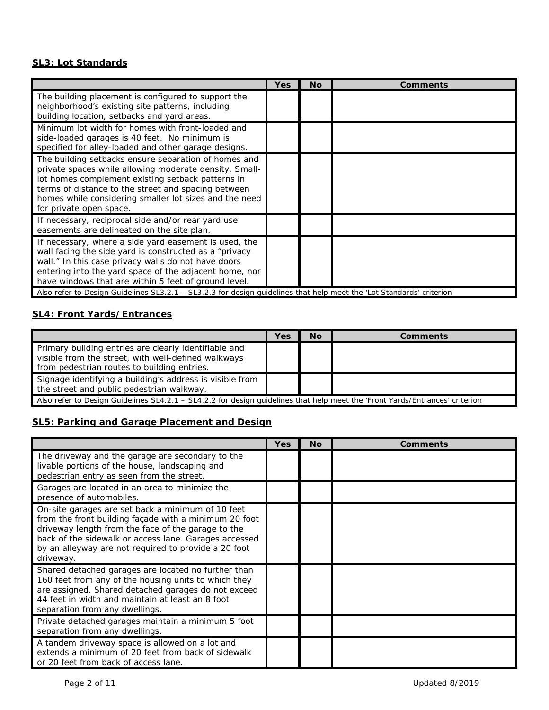#### **SL3: Lot Standards**

|                                                                                                                                                                                                                                                                                                                                                                                                                  | Yes | <b>No</b> | <b>Comments</b> |
|------------------------------------------------------------------------------------------------------------------------------------------------------------------------------------------------------------------------------------------------------------------------------------------------------------------------------------------------------------------------------------------------------------------|-----|-----------|-----------------|
| The building placement is configured to support the<br>neighborhood's existing site patterns, including<br>building location, setbacks and yard areas.                                                                                                                                                                                                                                                           |     |           |                 |
| Minimum lot width for homes with front-loaded and<br>side-loaded garages is 40 feet. No minimum is<br>specified for alley-loaded and other garage designs.                                                                                                                                                                                                                                                       |     |           |                 |
| The building setbacks ensure separation of homes and<br>private spaces while allowing moderate density. Small-<br>lot homes complement existing setback patterns in<br>terms of distance to the street and spacing between<br>homes while considering smaller lot sizes and the need<br>for private open space.                                                                                                  |     |           |                 |
| If necessary, reciprocal side and/or rear yard use<br>easements are delineated on the site plan.                                                                                                                                                                                                                                                                                                                 |     |           |                 |
| If necessary, where a side yard easement is used, the<br>wall facing the side yard is constructed as a "privacy<br>wall." In this case privacy walls do not have doors<br>entering into the yard space of the adjacent home, nor<br>have windows that are within 5 feet of ground level.<br>Also refer to Design Guidelines SL3.2.1 - SL3.2.3 for design guidelines that help meet the 'Lot Standards' criterion |     |           |                 |

# **SL4: Front Yards/Entrances**

|                                                                                                                                                             | Yes | <b>No</b> | <b>Comments</b> |
|-------------------------------------------------------------------------------------------------------------------------------------------------------------|-----|-----------|-----------------|
| Primary building entries are clearly identifiable and<br>visible from the street, with well-defined walkways<br>from pedestrian routes to building entries. |     |           |                 |
| Signage identifying a building's address is visible from<br>the street and public pedestrian walkway.                                                       |     |           |                 |
| Also refer to Design Guidelines SL4.2.1 - SL4.2.2 for design quidelines that help meet the 'Front Yards/Entrances' criterion                                |     |           |                 |

### **SL5: Parking and Garage Placement and Design**

|                                                                                                                                                                                                                                                                                                | Yes | <b>No</b> | <b>Comments</b> |
|------------------------------------------------------------------------------------------------------------------------------------------------------------------------------------------------------------------------------------------------------------------------------------------------|-----|-----------|-----------------|
| The driveway and the garage are secondary to the<br>livable portions of the house, landscaping and<br>pedestrian entry as seen from the street.                                                                                                                                                |     |           |                 |
| Garages are located in an area to minimize the<br>presence of automobiles.                                                                                                                                                                                                                     |     |           |                 |
| On-site garages are set back a minimum of 10 feet<br>from the front building façade with a minimum 20 foot<br>driveway length from the face of the garage to the<br>back of the sidewalk or access lane. Garages accessed<br>by an alleyway are not required to provide a 20 foot<br>driveway. |     |           |                 |
| Shared detached garages are located no further than<br>160 feet from any of the housing units to which they<br>are assigned. Shared detached garages do not exceed<br>44 feet in width and maintain at least an 8 foot<br>separation from any dwellings.                                       |     |           |                 |
| Private detached garages maintain a minimum 5 foot<br>separation from any dwellings.                                                                                                                                                                                                           |     |           |                 |
| A tandem driveway space is allowed on a lot and<br>extends a minimum of 20 feet from back of sidewalk<br>or 20 feet from back of access lane.                                                                                                                                                  |     |           |                 |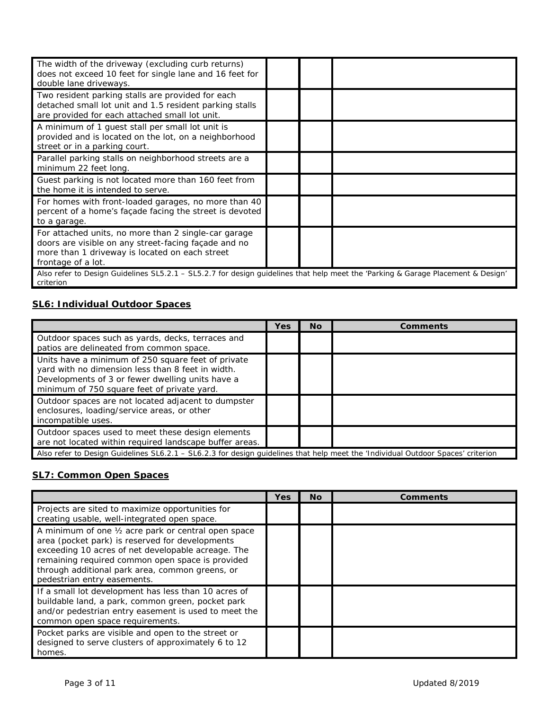| The width of the driveway (excluding curb returns)<br>does not exceed 10 feet for single lane and 16 feet for<br>double lane driveways.                                              |  |  |  |  |
|--------------------------------------------------------------------------------------------------------------------------------------------------------------------------------------|--|--|--|--|
| Two resident parking stalls are provided for each<br>detached small lot unit and 1.5 resident parking stalls<br>are provided for each attached small lot unit.                       |  |  |  |  |
| A minimum of 1 guest stall per small lot unit is<br>provided and is located on the lot, on a neighborhood<br>street or in a parking court.                                           |  |  |  |  |
| Parallel parking stalls on neighborhood streets are a<br>minimum 22 feet long.                                                                                                       |  |  |  |  |
| Guest parking is not located more than 160 feet from<br>the home it is intended to serve.                                                                                            |  |  |  |  |
| For homes with front-loaded garages, no more than 40<br>percent of a home's façade facing the street is devoted<br>to a garage.                                                      |  |  |  |  |
| For attached units, no more than 2 single-car garage<br>doors are visible on any street-facing façade and no<br>more than 1 driveway is located on each street<br>frontage of a lot. |  |  |  |  |
| Also refer to Design Guidelines SL5.2.1 – SL5.2.7 for design guidelines that help meet the 'Parking & Garage Placement & Design'<br>criterion                                        |  |  |  |  |

### **SL6: Individual Outdoor Spaces**

|                                                                                                                                                                                                            | Yes | Νo | Comments |
|------------------------------------------------------------------------------------------------------------------------------------------------------------------------------------------------------------|-----|----|----------|
| Outdoor spaces such as yards, decks, terraces and<br>patios are delineated from common space.                                                                                                              |     |    |          |
| Units have a minimum of 250 square feet of private<br>yard with no dimension less than 8 feet in width.<br>Developments of 3 or fewer dwelling units have a<br>minimum of 750 square feet of private yard. |     |    |          |
| Outdoor spaces are not located adjacent to dumpster<br>enclosures, loading/service areas, or other<br>incompatible uses.                                                                                   |     |    |          |
| Outdoor spaces used to meet these design elements<br>are not located within required landscape buffer areas.                                                                                               |     |    |          |
| Also refer to Design Guidelines SL6.2.1 – SL6.2.3 for design guidelines that help meet the 'Individual Outdoor Spaces' criterion                                                                           |     |    |          |

## **SL7: Common Open Spaces**

|                                                                                                                                                                                                                                                                                                     | <b>Yes</b> | <b>No</b> | Comments |
|-----------------------------------------------------------------------------------------------------------------------------------------------------------------------------------------------------------------------------------------------------------------------------------------------------|------------|-----------|----------|
| Projects are sited to maximize opportunities for<br>creating usable, well-integrated open space.                                                                                                                                                                                                    |            |           |          |
| A minimum of one 1/2 acre park or central open space<br>area (pocket park) is reserved for developments<br>exceeding 10 acres of net developable acreage. The<br>remaining required common open space is provided<br>through additional park area, common greens, or<br>pedestrian entry easements. |            |           |          |
| If a small lot development has less than 10 acres of<br>buildable land, a park, common green, pocket park<br>and/or pedestrian entry easement is used to meet the<br>common open space requirements.                                                                                                |            |           |          |
| Pocket parks are visible and open to the street or<br>designed to serve clusters of approximately 6 to 12<br>homes.                                                                                                                                                                                 |            |           |          |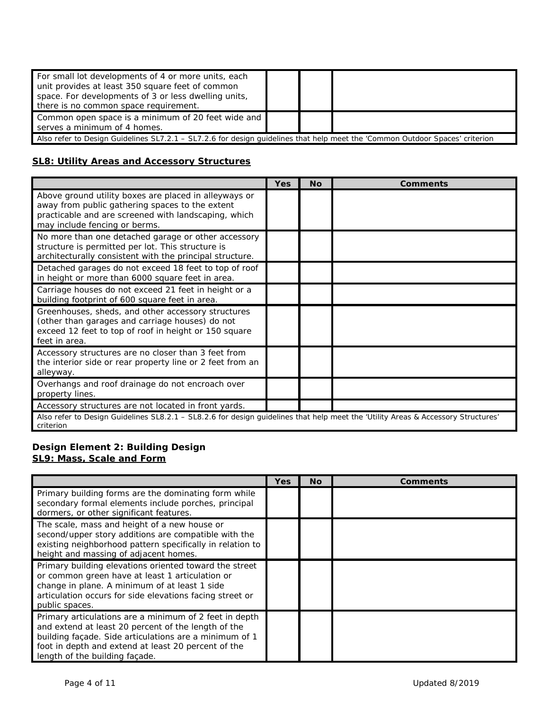| For small lot developments of 4 or more units, each<br>unit provides at least 350 square feet of common<br>space. For developments of 3 or less dwelling units,<br>there is no common space requirement. |  |  |  |
|----------------------------------------------------------------------------------------------------------------------------------------------------------------------------------------------------------|--|--|--|
| Common open space is a minimum of 20 feet wide and<br>serves a minimum of 4 homes.                                                                                                                       |  |  |  |
| Also refer to Design Guidelines SL7.2.1 - SL7.2.6 for design guidelines that help meet the 'Common Outdoor Spaces' criterion                                                                             |  |  |  |

#### **SL8: Utility Areas and Accessory Structures**

|                                                                                                                                                                                                   | Yes | Nο | <b>Comments</b> |  |
|---------------------------------------------------------------------------------------------------------------------------------------------------------------------------------------------------|-----|----|-----------------|--|
| Above ground utility boxes are placed in alleyways or<br>away from public gathering spaces to the extent<br>practicable and are screened with landscaping, which<br>may include fencing or berms. |     |    |                 |  |
| No more than one detached garage or other accessory<br>structure is permitted per lot. This structure is<br>architecturally consistent with the principal structure.                              |     |    |                 |  |
| Detached garages do not exceed 18 feet to top of roof<br>in height or more than 6000 square feet in area.                                                                                         |     |    |                 |  |
| Carriage houses do not exceed 21 feet in height or a<br>building footprint of 600 square feet in area.                                                                                            |     |    |                 |  |
| Greenhouses, sheds, and other accessory structures<br>(other than garages and carriage houses) do not<br>exceed 12 feet to top of roof in height or 150 square<br>feet in area.                   |     |    |                 |  |
| Accessory structures are no closer than 3 feet from<br>the interior side or rear property line or 2 feet from an<br>alleyway.                                                                     |     |    |                 |  |
| Overhangs and roof drainage do not encroach over<br>property lines.                                                                                                                               |     |    |                 |  |
| Accessory structures are not located in front yards.                                                                                                                                              |     |    |                 |  |
| Also refer to Design Guidelines SL8.2.1 - SL8.2.6 for design guidelines that help meet the 'Utility Areas & Accessory Structures'<br>criterion                                                    |     |    |                 |  |

#### **Design Element 2: Building Design SL9: Mass, Scale and Form**

|                                                                                                                                                                                                                                                                  | Yes | <b>No</b> | Comments |
|------------------------------------------------------------------------------------------------------------------------------------------------------------------------------------------------------------------------------------------------------------------|-----|-----------|----------|
| Primary building forms are the dominating form while<br>secondary formal elements include porches, principal<br>dormers, or other significant features.                                                                                                          |     |           |          |
| The scale, mass and height of a new house or<br>second/upper story additions are compatible with the<br>existing neighborhood pattern specifically in relation to<br>height and massing of adjacent homes.                                                       |     |           |          |
| Primary building elevations oriented toward the street<br>or common green have at least 1 articulation or<br>change in plane. A minimum of at least 1 side<br>articulation occurs for side elevations facing street or<br>public spaces.                         |     |           |          |
| Primary articulations are a minimum of 2 feet in depth<br>and extend at least 20 percent of the length of the<br>building façade. Side articulations are a minimum of 1<br>foot in depth and extend at least 20 percent of the<br>length of the building façade. |     |           |          |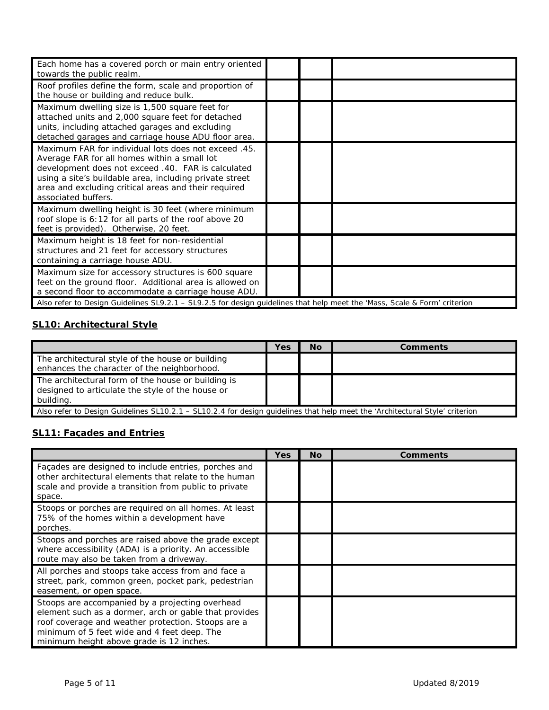| Each home has a covered porch or main entry oriented<br>towards the public realm.                                                                                                                                                                                                                    |  |  |
|------------------------------------------------------------------------------------------------------------------------------------------------------------------------------------------------------------------------------------------------------------------------------------------------------|--|--|
| Roof profiles define the form, scale and proportion of<br>the house or building and reduce bulk.                                                                                                                                                                                                     |  |  |
| Maximum dwelling size is 1,500 square feet for<br>attached units and 2,000 square feet for detached<br>units, including attached garages and excluding<br>detached garages and carriage house ADU floor area.                                                                                        |  |  |
| Maximum FAR for individual lots does not exceed .45.<br>Average FAR for all homes within a small lot<br>development does not exceed .40. FAR is calculated<br>using a site's buildable area, including private street<br>area and excluding critical areas and their required<br>associated buffers. |  |  |
| Maximum dwelling height is 30 feet (where minimum<br>roof slope is 6:12 for all parts of the roof above 20<br>feet is provided). Otherwise, 20 feet.                                                                                                                                                 |  |  |
| Maximum height is 18 feet for non-residential<br>structures and 21 feet for accessory structures<br>containing a carriage house ADU.                                                                                                                                                                 |  |  |
| Maximum size for accessory structures is 600 square<br>feet on the ground floor. Additional area is allowed on<br>a second floor to accommodate a carriage house ADU.                                                                                                                                |  |  |
| Also refer to Design Guidelines SL9.2.1 - SL9.2.5 for design guidelines that help meet the 'Mass, Scale & Form' criterion                                                                                                                                                                            |  |  |

# **SL10: Architectural Style**

|                                                                                                                              | Yes | <b>No</b> | Comments |
|------------------------------------------------------------------------------------------------------------------------------|-----|-----------|----------|
| The architectural style of the house or building<br>enhances the character of the neighborhood.                              |     |           |          |
| The architectural form of the house or building is<br>designed to articulate the style of the house or<br>building.          |     |           |          |
| Also refer to Design Guidelines SL10.2.1 – SL10.2.4 for design quidelines that help meet the 'Architectural Style' criterion |     |           |          |

# **SL11: Façades and Entries**

|                                                                                                                                                                                                                                                           | Yes | No | <b>Comments</b> |
|-----------------------------------------------------------------------------------------------------------------------------------------------------------------------------------------------------------------------------------------------------------|-----|----|-----------------|
| Facades are designed to include entries, porches and<br>other architectural elements that relate to the human<br>scale and provide a transition from public to private<br>space.                                                                          |     |    |                 |
| Stoops or porches are required on all homes. At least<br>75% of the homes within a development have<br>porches.                                                                                                                                           |     |    |                 |
| Stoops and porches are raised above the grade except<br>where accessibility (ADA) is a priority. An accessible<br>route may also be taken from a driveway.                                                                                                |     |    |                 |
| All porches and stoops take access from and face a<br>street, park, common green, pocket park, pedestrian<br>easement, or open space.                                                                                                                     |     |    |                 |
| Stoops are accompanied by a projecting overhead<br>element such as a dormer, arch or gable that provides<br>roof coverage and weather protection. Stoops are a<br>minimum of 5 feet wide and 4 feet deep. The<br>minimum height above grade is 12 inches. |     |    |                 |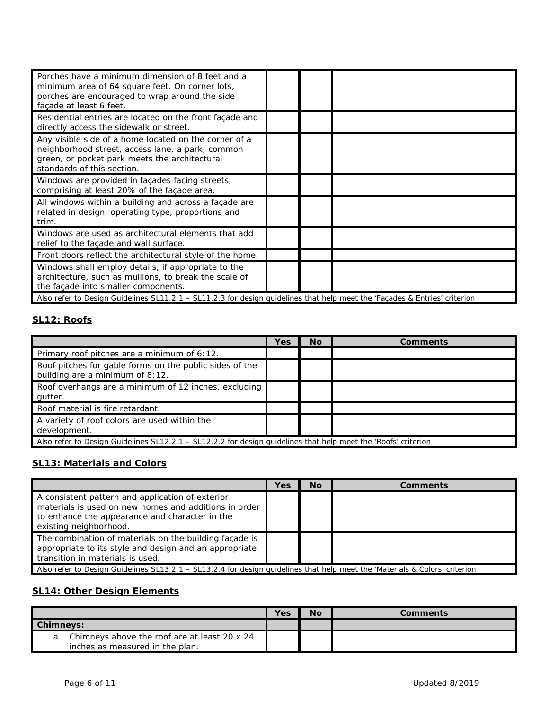| Porches have a minimum dimension of 8 feet and a<br>minimum area of 64 square feet. On corner lots,<br>porches are encouraged to wrap around the side<br>façade at least 6 feet.         |  |  |
|------------------------------------------------------------------------------------------------------------------------------------------------------------------------------------------|--|--|
| Residential entries are located on the front facade and<br>directly access the sidewalk or street.                                                                                       |  |  |
| Any visible side of a home located on the corner of a<br>neighborhood street, access lane, a park, common<br>green, or pocket park meets the architectural<br>standards of this section. |  |  |
| Windows are provided in façades facing streets,<br>comprising at least 20% of the façade area.                                                                                           |  |  |
| All windows within a building and across a façade are<br>related in design, operating type, proportions and<br>trim.                                                                     |  |  |
| Windows are used as architectural elements that add<br>relief to the facade and wall surface.                                                                                            |  |  |
| Front doors reflect the architectural style of the home.                                                                                                                                 |  |  |
| Windows shall employ details, if appropriate to the<br>architecture, such as mullions, to break the scale of<br>the façade into smaller components.                                      |  |  |
| Also refer to Design Guidelines SL11.2.1 - SL11.2.3 for design guidelines that help meet the 'Façades & Entries' criterion                                                               |  |  |

#### **SL12: Roofs**

|                                                                                                                | Yes | <b>No</b> | <b>Comments</b> |  |
|----------------------------------------------------------------------------------------------------------------|-----|-----------|-----------------|--|
| Primary roof pitches are a minimum of 6:12.                                                                    |     |           |                 |  |
| Roof pitches for gable forms on the public sides of the<br>building are a minimum of 8:12.                     |     |           |                 |  |
| Roof overhangs are a minimum of 12 inches, excluding<br>qutter.                                                |     |           |                 |  |
| Roof material is fire retardant.                                                                               |     |           |                 |  |
| A variety of roof colors are used within the<br>development.                                                   |     |           |                 |  |
| Also refer to Design Guidelines SL12.2.1 – SL12.2.2 for design guidelines that help meet the 'Roofs' criterion |     |           |                 |  |

## **SL13: Materials and Colors**

|                                                                                                                                                                                       | Yes | No. | Comments |  |
|---------------------------------------------------------------------------------------------------------------------------------------------------------------------------------------|-----|-----|----------|--|
| A consistent pattern and application of exterior<br>materials is used on new homes and additions in order<br>to enhance the appearance and character in the<br>existing neighborhood. |     |     |          |  |
| The combination of materials on the building façade is<br>appropriate to its style and design and an appropriate<br>transition in materials is used.                                  |     |     |          |  |
| Also refer to Design Guidelines SL13.2.1 – SL13.2.4 for design quidelines that help meet the 'Materials & Colors' criterion                                                           |     |     |          |  |

# **SL14: Other Design Elements**

|                  |                                                 | Yes | No | Comments |
|------------------|-------------------------------------------------|-----|----|----------|
| <b>Chimneys:</b> |                                                 |     |    |          |
|                  | a. Chimneys above the roof are at least 20 x 24 |     |    |          |
|                  | inches as measured in the plan.                 |     |    |          |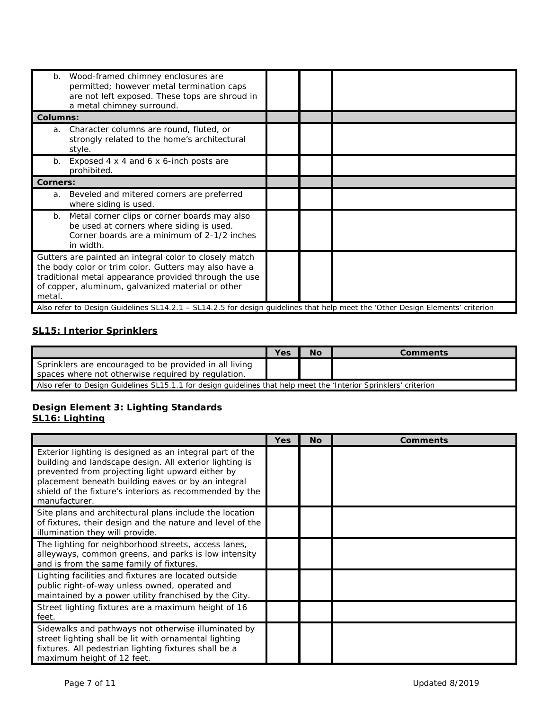| Wood-framed chimney enclosures are<br>b.<br>permitted; however metal termination caps<br>are not left exposed. These tops are shroud in<br>a metal chimney surround.                                                                    |  |  |
|-----------------------------------------------------------------------------------------------------------------------------------------------------------------------------------------------------------------------------------------|--|--|
| <b>Columns:</b>                                                                                                                                                                                                                         |  |  |
| Character columns are round, fluted, or<br>a.<br>strongly related to the home's architectural<br>style.                                                                                                                                 |  |  |
| Exposed 4 x 4 and 6 x 6-inch posts are<br>b.<br>prohibited.                                                                                                                                                                             |  |  |
| <b>Corners:</b>                                                                                                                                                                                                                         |  |  |
| Beveled and mitered corners are preferred<br>a.<br>where siding is used.                                                                                                                                                                |  |  |
| Metal corner clips or corner boards may also<br>b.<br>be used at corners where siding is used.<br>Corner boards are a minimum of 2-1/2 inches<br>in width.                                                                              |  |  |
| Gutters are painted an integral color to closely match<br>the body color or trim color. Gutters may also have a<br>traditional metal appearance provided through the use<br>of copper, aluminum, galvanized material or other<br>metal. |  |  |
| Also refer to Design Guidelines SL14.2.1 - SL14.2.5 for design guidelines that help meet the 'Other Design Elements' criterion                                                                                                          |  |  |

## **SL15: Interior Sprinklers**

|                                                                                                                   | Yes | <b>No</b> | Comments |  |
|-------------------------------------------------------------------------------------------------------------------|-----|-----------|----------|--|
| Sprinklers are encouraged to be provided in all living<br>spaces where not otherwise required by requiation.      |     |           |          |  |
| Also refer to Design Guidelines SL15.1.1 for design guidelines that help meet the 'Interior Sprinklers' criterion |     |           |          |  |

#### **Design Element 3: Lighting Standards SL16: Lighting**

|                                                                                                                                                                                                                                                                                                           | <b>Yes</b> | <b>No</b> | <b>Comments</b> |
|-----------------------------------------------------------------------------------------------------------------------------------------------------------------------------------------------------------------------------------------------------------------------------------------------------------|------------|-----------|-----------------|
| Exterior lighting is designed as an integral part of the<br>building and landscape design. All exterior lighting is<br>prevented from projecting light upward either by<br>placement beneath building eaves or by an integral<br>shield of the fixture's interiors as recommended by the<br>manufacturer. |            |           |                 |
| Site plans and architectural plans include the location<br>of fixtures, their design and the nature and level of the<br>illumination they will provide.                                                                                                                                                   |            |           |                 |
| The lighting for neighborhood streets, access lanes,<br>alleyways, common greens, and parks is low intensity<br>and is from the same family of fixtures.                                                                                                                                                  |            |           |                 |
| Lighting facilities and fixtures are located outside<br>public right-of-way unless owned, operated and<br>maintained by a power utility franchised by the City.                                                                                                                                           |            |           |                 |
| Street lighting fixtures are a maximum height of 16<br>feet.                                                                                                                                                                                                                                              |            |           |                 |
| Sidewalks and pathways not otherwise illuminated by<br>street lighting shall be lit with ornamental lighting<br>fixtures. All pedestrian lighting fixtures shall be a<br>maximum height of 12 feet.                                                                                                       |            |           |                 |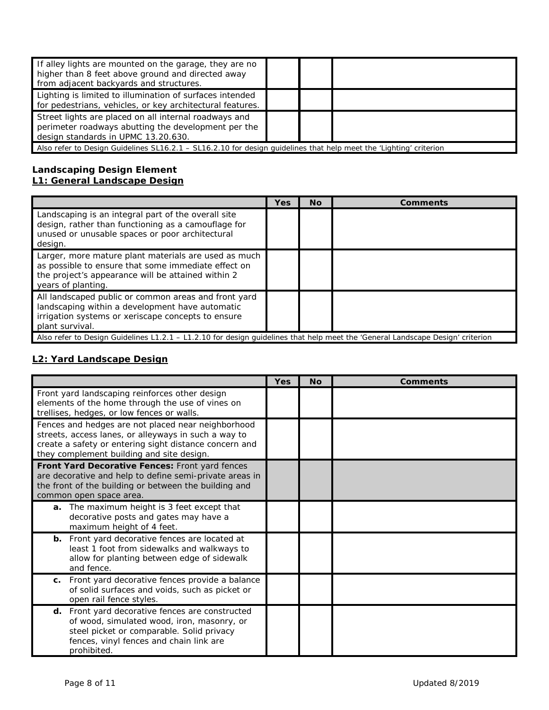| If alley lights are mounted on the garage, they are no<br>higher than 8 feet above ground and directed away<br>from adjacent backyards and structures. |  |  |  |  |
|--------------------------------------------------------------------------------------------------------------------------------------------------------|--|--|--|--|
| Lighting is limited to illumination of surfaces intended<br>for pedestrians, vehicles, or key architectural features.                                  |  |  |  |  |
| Street lights are placed on all internal roadways and<br>perimeter roadways abutting the development per the<br>design standards in UPMC 13.20.630.    |  |  |  |  |
| Also refer to Design Guidelines SL16.2.1 – SL16.2.10 for design quidelines that help meet the 'Lighting' criterion                                     |  |  |  |  |

#### **Landscaping Design Element L1: General Landscape Design**

|                                                                                                                                                                                         | Yes | <b>No</b> | <b>Comments</b> |
|-----------------------------------------------------------------------------------------------------------------------------------------------------------------------------------------|-----|-----------|-----------------|
| Landscaping is an integral part of the overall site<br>design, rather than functioning as a camouflage for<br>unused or unusable spaces or poor architectural<br>design.                |     |           |                 |
| Larger, more mature plant materials are used as much<br>as possible to ensure that some immediate effect on<br>the project's appearance will be attained within 2<br>years of planting. |     |           |                 |
| All landscaped public or common areas and front yard<br>landscaping within a development have automatic<br>irrigation systems or xeriscape concepts to ensure<br>plant survival.        |     |           |                 |
| Also refer to Design Guidelines L1.2.1 – L1.2.10 for design guidelines that help meet the 'General Landscape Design' criterion                                                          |     |           |                 |

# **L2: Yard Landscape Design**

 $\overline{a}$ 

|                                                                                                                                                                                                                   | Yes | <b>No</b> | <b>Comments</b> |
|-------------------------------------------------------------------------------------------------------------------------------------------------------------------------------------------------------------------|-----|-----------|-----------------|
| Front yard landscaping reinforces other design<br>elements of the home through the use of vines on<br>trellises, hedges, or low fences or walls.                                                                  |     |           |                 |
| Fences and hedges are not placed near neighborhood<br>streets, access lanes, or alleyways in such a way to<br>create a safety or entering sight distance concern and<br>they complement building and site design. |     |           |                 |
| Front Yard Decorative Fences: Front yard fences<br>are decorative and help to define semi-private areas in<br>the front of the building or between the building and<br>common open space area.                    |     |           |                 |
| a. The maximum height is 3 feet except that<br>decorative posts and gates may have a<br>maximum height of 4 feet.                                                                                                 |     |           |                 |
| <b>b.</b> Front yard decorative fences are located at<br>least 1 foot from sidewalks and walkways to<br>allow for planting between edge of sidewalk<br>and fence.                                                 |     |           |                 |
| Front yard decorative fences provide a balance<br>C.<br>of solid surfaces and voids, such as picket or<br>open rail fence styles.                                                                                 |     |           |                 |
| d. Front yard decorative fences are constructed<br>of wood, simulated wood, iron, masonry, or<br>steel picket or comparable. Solid privacy<br>fences, vinyl fences and chain link are<br>prohibited.              |     |           |                 |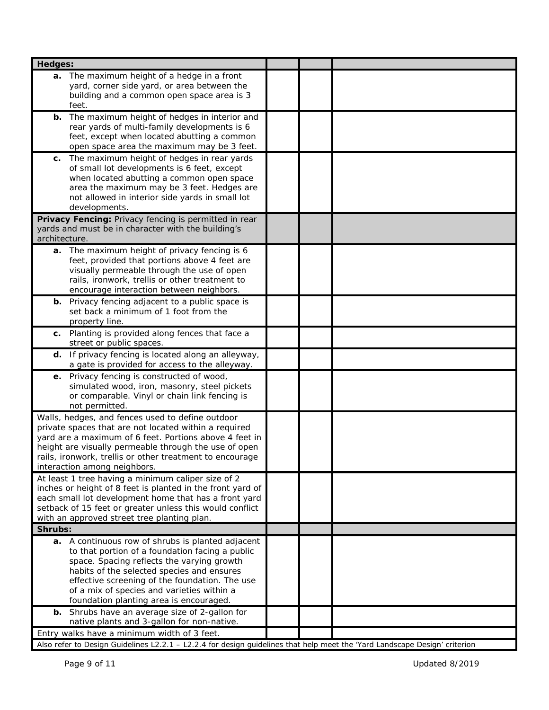| <b>Hedges:</b>                                                                                                                                                                                                                                                                                                                              |  |  |
|---------------------------------------------------------------------------------------------------------------------------------------------------------------------------------------------------------------------------------------------------------------------------------------------------------------------------------------------|--|--|
| a. The maximum height of a hedge in a front<br>yard, corner side yard, or area between the<br>building and a common open space area is 3<br>feet.                                                                                                                                                                                           |  |  |
| The maximum height of hedges in interior and<br>b.<br>rear yards of multi-family developments is 6<br>feet, except when located abutting a common<br>open space area the maximum may be 3 feet.                                                                                                                                             |  |  |
| The maximum height of hedges in rear yards<br>c.<br>of small lot developments is 6 feet, except<br>when located abutting a common open space<br>area the maximum may be 3 feet. Hedges are<br>not allowed in interior side yards in small lot<br>developments.                                                                              |  |  |
| Privacy Fencing: Privacy fencing is permitted in rear<br>yards and must be in character with the building's<br>architecture.                                                                                                                                                                                                                |  |  |
| a. The maximum height of privacy fencing is 6<br>feet, provided that portions above 4 feet are<br>visually permeable through the use of open<br>rails, ironwork, trellis or other treatment to<br>encourage interaction between neighbors.                                                                                                  |  |  |
| <b>b.</b> Privacy fencing adjacent to a public space is<br>set back a minimum of 1 foot from the<br>property line.                                                                                                                                                                                                                          |  |  |
| c. Planting is provided along fences that face a<br>street or public spaces.                                                                                                                                                                                                                                                                |  |  |
| d. If privacy fencing is located along an alleyway,<br>a gate is provided for access to the alleyway.                                                                                                                                                                                                                                       |  |  |
| e. Privacy fencing is constructed of wood,<br>simulated wood, iron, masonry, steel pickets<br>or comparable. Vinyl or chain link fencing is<br>not permitted.                                                                                                                                                                               |  |  |
| Walls, hedges, and fences used to define outdoor<br>private spaces that are not located within a required<br>yard are a maximum of 6 feet. Portions above 4 feet in<br>height are visually permeable through the use of open<br>rails, ironwork, trellis or other treatment to encourage<br>interaction among neighbors.                    |  |  |
| At least 1 tree having a minimum caliper size of 2<br>inches or height of 8 feet is planted in the front yard of<br>each small lot development home that has a front yard<br>setback of 15 feet or greater unless this would conflict<br>with an approved street tree planting plan.                                                        |  |  |
| Shrubs:                                                                                                                                                                                                                                                                                                                                     |  |  |
| a. A continuous row of shrubs is planted adjacent<br>to that portion of a foundation facing a public<br>space. Spacing reflects the varying growth<br>habits of the selected species and ensures<br>effective screening of the foundation. The use<br>of a mix of species and varieties within a<br>foundation planting area is encouraged. |  |  |
| Shrubs have an average size of 2-gallon for<br>b.<br>native plants and 3-gallon for non-native.                                                                                                                                                                                                                                             |  |  |
| Entry walks have a minimum width of 3 feet.                                                                                                                                                                                                                                                                                                 |  |  |
| Also refer to Design Guidelines L2.2.1 - L2.2.4 for design guidelines that help meet the 'Yard Landscape Design' criterion                                                                                                                                                                                                                  |  |  |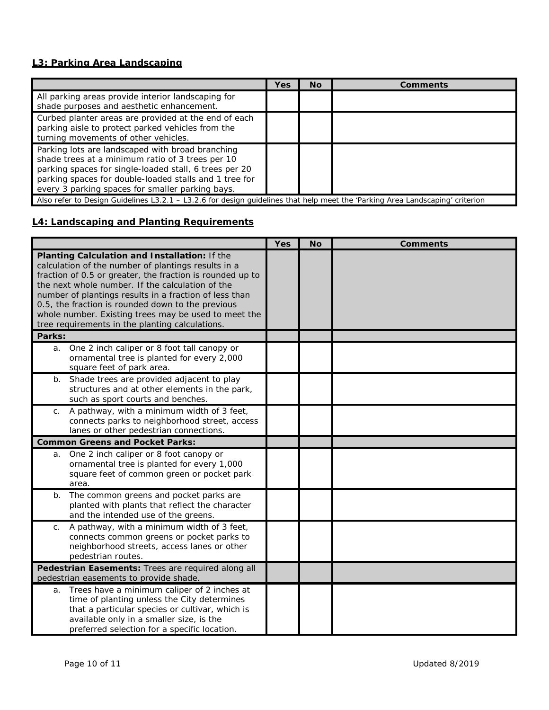### **L3: Parking Area Landscaping**

|                                                                                                                                                                                                                                                                              | Yes | No. | Comments |
|------------------------------------------------------------------------------------------------------------------------------------------------------------------------------------------------------------------------------------------------------------------------------|-----|-----|----------|
| All parking areas provide interior landscaping for<br>shade purposes and aesthetic enhancement.                                                                                                                                                                              |     |     |          |
| Curbed planter areas are provided at the end of each<br>parking aisle to protect parked vehicles from the<br>turning movements of other vehicles.                                                                                                                            |     |     |          |
| Parking lots are landscaped with broad branching<br>shade trees at a minimum ratio of 3 trees per 10<br>parking spaces for single-loaded stall, 6 trees per 20<br>parking spaces for double-loaded stalls and 1 tree for<br>every 3 parking spaces for smaller parking bays. |     |     |          |
| Also refer to Design Guidelines L3.2.1 - L3.2.6 for design guidelines that help meet the 'Parking Area Landscaping' criterion                                                                                                                                                |     |     |          |

## **L4: Landscaping and Planting Requirements**

|                |                                                                                                                                                                                                                                                                                                                                                                                                                                                 | <b>Yes</b> | <b>No</b> | <b>Comments</b> |
|----------------|-------------------------------------------------------------------------------------------------------------------------------------------------------------------------------------------------------------------------------------------------------------------------------------------------------------------------------------------------------------------------------------------------------------------------------------------------|------------|-----------|-----------------|
|                | Planting Calculation and Installation: If the<br>calculation of the number of plantings results in a<br>fraction of 0.5 or greater, the fraction is rounded up to<br>the next whole number. If the calculation of the<br>number of plantings results in a fraction of less than<br>0.5, the fraction is rounded down to the previous<br>whole number. Existing trees may be used to meet the<br>tree requirements in the planting calculations. |            |           |                 |
| Parks:         |                                                                                                                                                                                                                                                                                                                                                                                                                                                 |            |           |                 |
| a.             | One 2 inch caliper or 8 foot tall canopy or<br>ornamental tree is planted for every 2,000<br>square feet of park area.                                                                                                                                                                                                                                                                                                                          |            |           |                 |
| $b_{\cdot}$    | Shade trees are provided adjacent to play<br>structures and at other elements in the park,<br>such as sport courts and benches.                                                                                                                                                                                                                                                                                                                 |            |           |                 |
| C <sub>1</sub> | A pathway, with a minimum width of 3 feet,<br>connects parks to neighborhood street, access<br>lanes or other pedestrian connections.                                                                                                                                                                                                                                                                                                           |            |           |                 |
|                | <b>Common Greens and Pocket Parks:</b>                                                                                                                                                                                                                                                                                                                                                                                                          |            |           |                 |
| a.             | One 2 inch caliper or 8 foot canopy or<br>ornamental tree is planted for every 1,000<br>square feet of common green or pocket park<br>area.                                                                                                                                                                                                                                                                                                     |            |           |                 |
| $b$ .          | The common greens and pocket parks are<br>planted with plants that reflect the character<br>and the intended use of the greens.                                                                                                                                                                                                                                                                                                                 |            |           |                 |
| C.             | A pathway, with a minimum width of 3 feet,<br>connects common greens or pocket parks to<br>neighborhood streets, access lanes or other<br>pedestrian routes.                                                                                                                                                                                                                                                                                    |            |           |                 |
|                | Pedestrian Easements: Trees are required along all<br>pedestrian easements to provide shade.                                                                                                                                                                                                                                                                                                                                                    |            |           |                 |
| a.             | Trees have a minimum caliper of 2 inches at<br>time of planting unless the City determines<br>that a particular species or cultivar, which is<br>available only in a smaller size, is the<br>preferred selection for a specific location.                                                                                                                                                                                                       |            |           |                 |